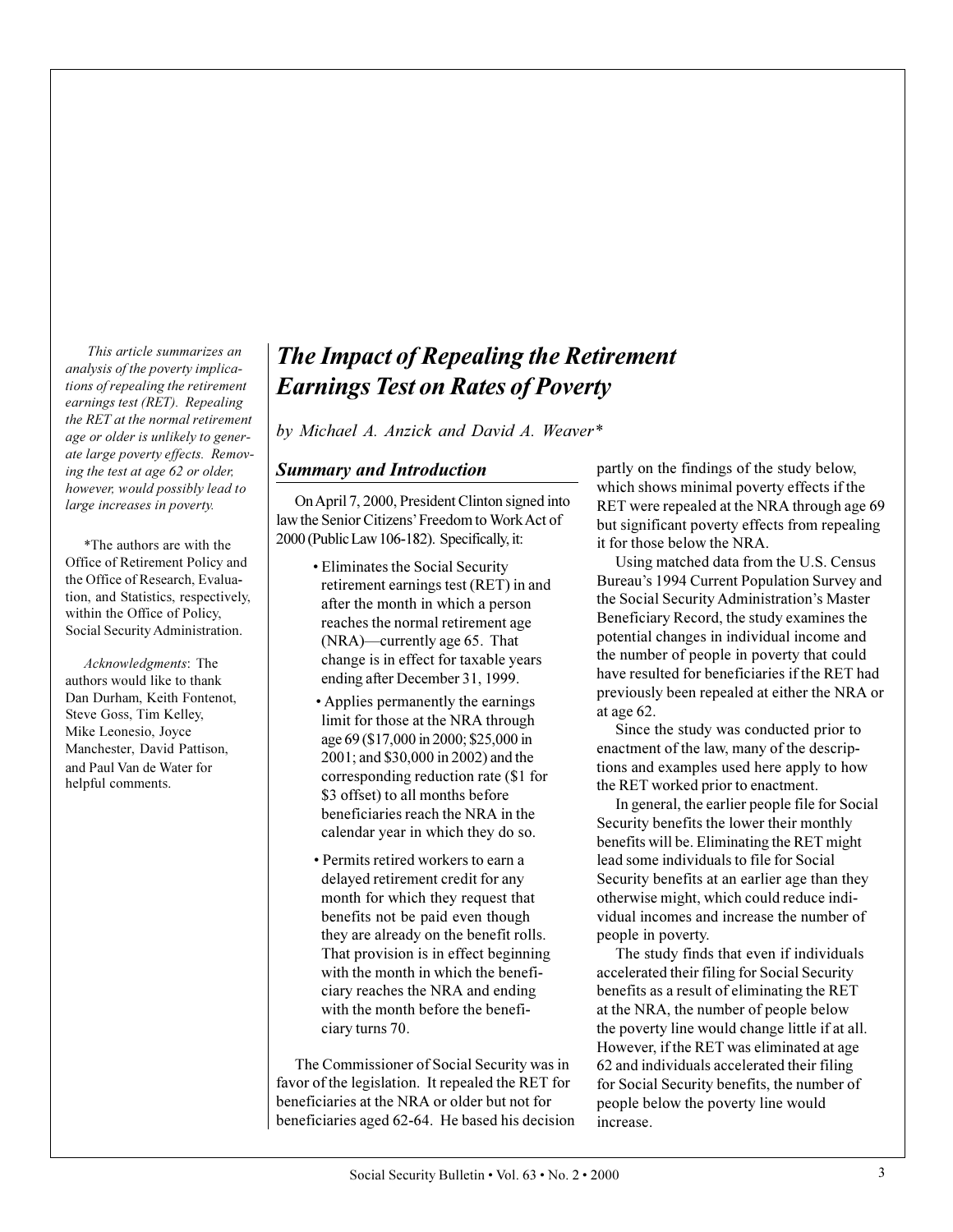*This article summarizes an analysis of the poverty implications of repealing the retirement earnings test (RET). Repealing the RET at the normal retirement age or older is unlikely to generate large poverty effects. Removing the test at age 62 or older, however, would possibly lead to large increases in poverty.*

\*The authors are with the Office of Retirement Policy and the Office of Research, Evaluation, and Statistics, respectively, within the Office of Policy, Social Security Administration.

*Acknowledgments*: The authors would like to thank Dan Durham, Keith Fontenot, Steve Goss, Tim Kelley, Mike Leonesio, Joyce Manchester, David Pattison, and Paul Van de Water for helpful comments.

# *The Impact of Repealing the Retirement Earnings Test on Rates of Poverty*

*by Michael A. Anzick and David A. Weaver\**

## *Summary and Introduction*

On April 7, 2000, President Clinton signed into law the Senior Citizens' Freedom to Work Act of 2000 (Public Law 106-182). Specifically, it:

- Eliminates the Social Security retirement earnings test (RET) in and after the month in which a person reaches the normal retirement age  $(NRA)$ —currently age 65. That change is in effect for taxable years ending after December 31, 1999.
- Applies permanently the earnings limit for those at the NRA through age 69 (\$17,000 in 2000; \$25,000 in 2001; and \$30,000 in 2002) and the corresponding reduction rate (\$1 for \$3 offset) to all months before beneficiaries reach the NRA in the calendar year in which they do so.
- Permits retired workers to earn a delayed retirement credit for any month for which they request that benefits not be paid even though they are already on the benefit rolls. That provision is in effect beginning with the month in which the beneficiary reaches the NRA and ending with the month before the beneficiary turns 70.

The Commissioner of Social Security was in favor of the legislation. It repealed the RET for beneficiaries at the NRA or older but not for beneficiaries aged 62-64. He based his decision partly on the findings of the study below, which shows minimal poverty effects if the RET were repealed at the NRA through age 69 but significant poverty effects from repealing it for those below the NRA.

Using matched data from the U.S. Census Bureau's 1994 Current Population Survey and the Social Security Administration's Master Beneficiary Record, the study examines the potential changes in individual income and the number of people in poverty that could have resulted for beneficiaries if the RET had previously been repealed at either the NRA or at age 62.

Since the study was conducted prior to enactment of the law, many of the descriptions and examples used here apply to how the RET worked prior to enactment.

In general, the earlier people file for Social Security benefits the lower their monthly benefits will be. Eliminating the RET might lead some individuals to file for Social Security benefits at an earlier age than they otherwise might, which could reduce individual incomes and increase the number of people in poverty.

The study finds that even if individuals accelerated their filing for Social Security benefits as a result of eliminating the RET at the NRA, the number of people below the poverty line would change little if at all. However, if the RET was eliminated at age 62 and individuals accelerated their filing for Social Security benefits, the number of people below the poverty line would increase.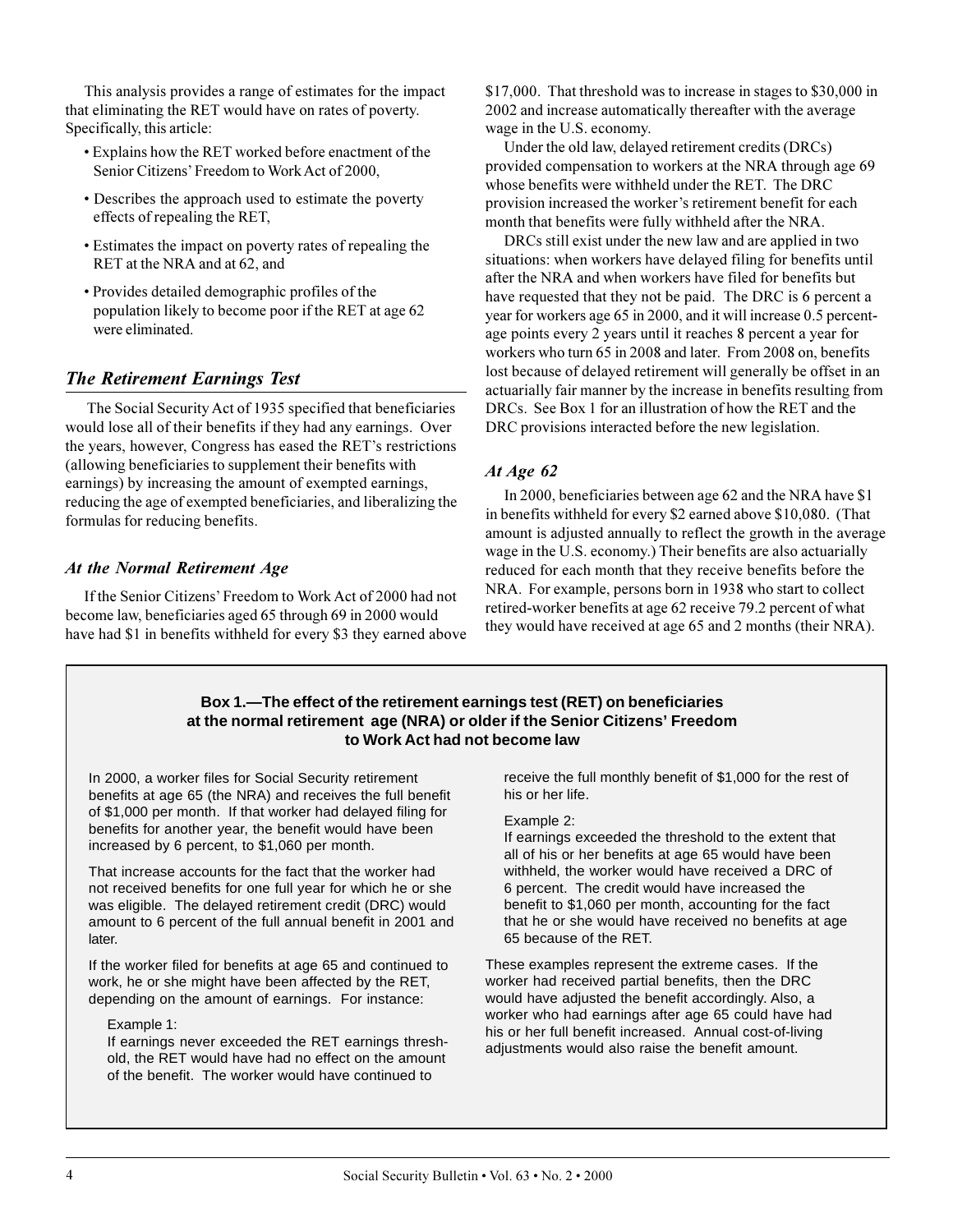This analysis provides a range of estimates for the impact that eliminating the RET would have on rates of poverty. Specifically, this article:

- Explains how the RET worked before enactment of the Senior Citizens' Freedom to Work Act of 2000,
- Describes the approach used to estimate the poverty effects of repealing the RET,
- Estimates the impact on poverty rates of repealing the RET at the NRA and at 62, and
- Provides detailed demographic profiles of the population likely to become poor if the RET at age 62 were eliminated.

# *The Retirement Earnings Test*

 The Social Security Act of 1935 specified that beneficiaries would lose all of their benefits if they had any earnings. Over the years, however, Congress has eased the RET's restrictions (allowing beneficiaries to supplement their benefits with earnings) by increasing the amount of exempted earnings, reducing the age of exempted beneficiaries, and liberalizing the formulas for reducing benefits.

## *At the Normal Retirement Age*

If the Senior Citizens' Freedom to Work Act of 2000 had not become law, beneficiaries aged 65 through 69 in 2000 would have had \$1 in benefits withheld for every \$3 they earned above \$17,000. That threshold was to increase in stages to \$30,000 in 2002 and increase automatically thereafter with the average wage in the U.S. economy.

Under the old law, delayed retirement credits (DRCs) provided compensation to workers at the NRA through age 69 whose benefits were withheld under the RET. The DRC provision increased the worker's retirement benefit for each month that benefits were fully withheld after the NRA.

DRCs still exist under the new law and are applied in two situations: when workers have delayed filing for benefits until after the NRA and when workers have filed for benefits but have requested that they not be paid. The DRC is 6 percent a year for workers age 65 in 2000, and it will increase 0.5 percentage points every 2 years until it reaches 8 percent a year for workers who turn 65 in 2008 and later. From 2008 on, benefits lost because of delayed retirement will generally be offset in an actuarially fair manner by the increase in benefits resulting from DRCs. See Box 1 for an illustration of how the RET and the DRC provisions interacted before the new legislation.

# *At Age 62*

In 2000, beneficiaries between age 62 and the NRA have \$1 in benefits withheld for every \$2 earned above \$10,080. (That amount is adjusted annually to reflect the growth in the average wage in the U.S. economy.) Their benefits are also actuarially reduced for each month that they receive benefits before the NRA. For example, persons born in 1938 who start to collect retired-worker benefits at age 62 receive 79.2 percent of what they would have received at age 65 and 2 months (their NRA).

#### **Box 1.—The effect of the retirement earnings test (RET) on beneficiaries at the normal retirement age (NRA) or older if the Senior Citizens' Freedom to Work Act had not become law**

In 2000, a worker files for Social Security retirement benefits at age 65 (the NRA) and receives the full benefit of \$1,000 per month. If that worker had delayed filing for benefits for another year, the benefit would have been increased by 6 percent, to \$1,060 per month.

That increase accounts for the fact that the worker had not received benefits for one full year for which he or she was eligible. The delayed retirement credit (DRC) would amount to 6 percent of the full annual benefit in 2001 and later.

If the worker filed for benefits at age 65 and continued to work, he or she might have been affected by the RET, depending on the amount of earnings. For instance:

Example 1:

If earnings never exceeded the RET earnings threshold, the RET would have had no effect on the amount of the benefit. The worker would have continued to

receive the full monthly benefit of \$1,000 for the rest of his or her life.

#### Example 2:

If earnings exceeded the threshold to the extent that all of his or her benefits at age 65 would have been withheld, the worker would have received a DRC of 6 percent. The credit would have increased the benefit to \$1,060 per month, accounting for the fact that he or she would have received no benefits at age 65 because of the RET.

These examples represent the extreme cases. If the worker had received partial benefits, then the DRC would have adjusted the benefit accordingly. Also, a worker who had earnings after age 65 could have had his or her full benefit increased. Annual cost-of-living adjustments would also raise the benefit amount.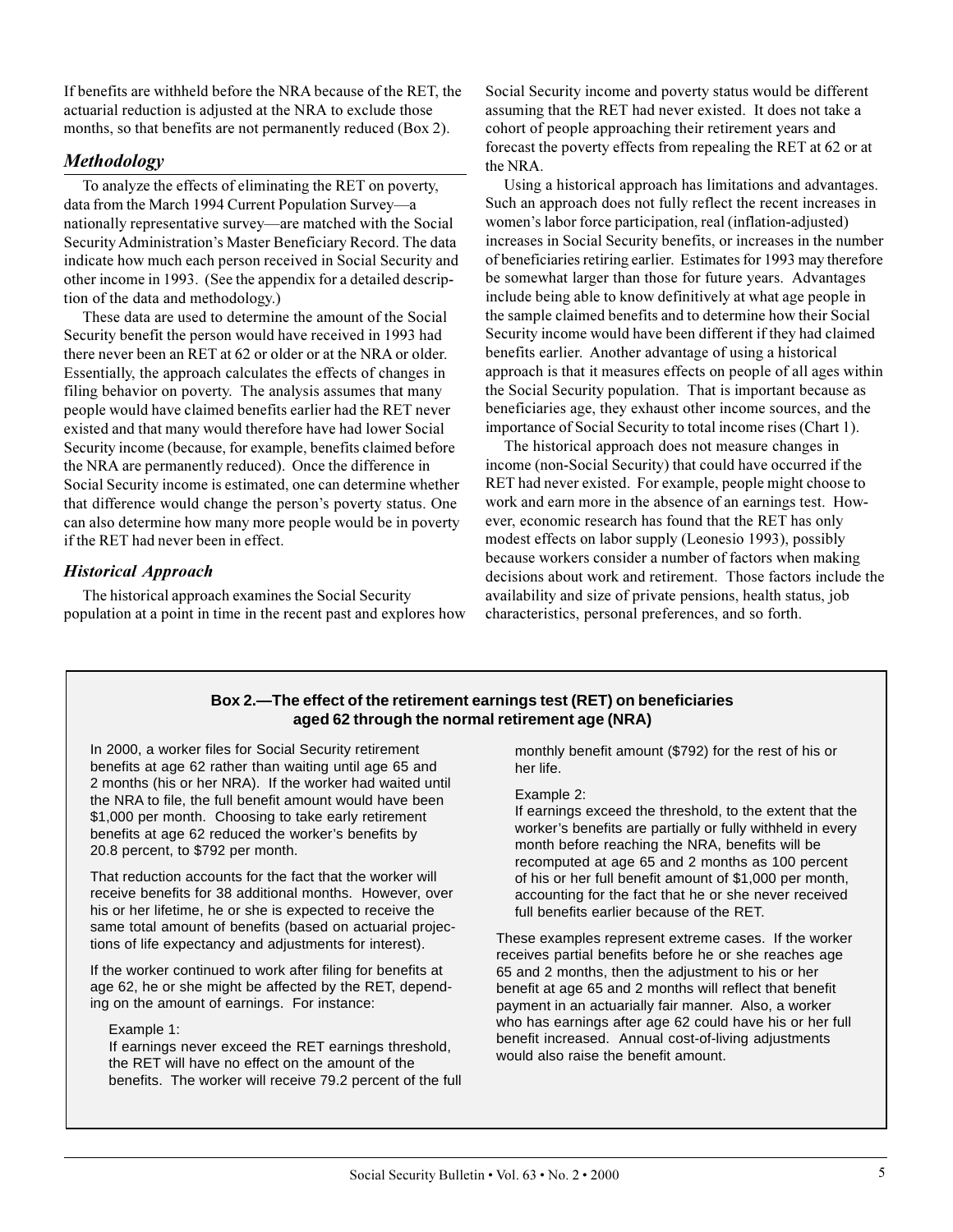If benefits are withheld before the NRA because of the RET, the actuarial reduction is adjusted at the NRA to exclude those months, so that benefits are not permanently reduced (Box 2).

# *Methodology*

To analyze the effects of eliminating the RET on poverty, data from the March 1994 Current Population Survey-a nationally representative survey—are matched with the Social Security Administration's Master Beneficiary Record. The data indicate how much each person received in Social Security and other income in 1993. (See the appendix for a detailed description of the data and methodology.)

These data are used to determine the amount of the Social Security benefit the person would have received in 1993 had there never been an RET at 62 or older or at the NRA or older. Essentially, the approach calculates the effects of changes in filing behavior on poverty. The analysis assumes that many people would have claimed benefits earlier had the RET never existed and that many would therefore have had lower Social Security income (because, for example, benefits claimed before the NRA are permanently reduced). Once the difference in Social Security income is estimated, one can determine whether that difference would change the person's poverty status. One can also determine how many more people would be in poverty if the RET had never been in effect.

# *Historical Approach*

The historical approach examines the Social Security population at a point in time in the recent past and explores how

Social Security income and poverty status would be different assuming that the RET had never existed. It does not take a cohort of people approaching their retirement years and forecast the poverty effects from repealing the RET at 62 or at the NRA.

Using a historical approach has limitations and advantages. Such an approach does not fully reflect the recent increases in women's labor force participation, real (inflation-adjusted) increases in Social Security benefits, or increases in the number of beneficiaries retiring earlier. Estimates for 1993 may therefore be somewhat larger than those for future years. Advantages include being able to know definitively at what age people in the sample claimed benefits and to determine how their Social Security income would have been different if they had claimed benefits earlier. Another advantage of using a historical approach is that it measures effects on people of all ages within the Social Security population. That is important because as beneficiaries age, they exhaust other income sources, and the importance of Social Security to total income rises (Chart 1).

The historical approach does not measure changes in income (non-Social Security) that could have occurred if the RET had never existed. For example, people might choose to work and earn more in the absence of an earnings test. However, economic research has found that the RET has only modest effects on labor supply (Leonesio 1993), possibly because workers consider a number of factors when making decisions about work and retirement. Those factors include the availability and size of private pensions, health status, job characteristics, personal preferences, and so forth.

## **Box 2.—The effect of the retirement earnings test (RET) on beneficiaries aged 62 through the normal retirement age (NRA)**

In 2000, a worker files for Social Security retirement benefits at age 62 rather than waiting until age 65 and 2 months (his or her NRA). If the worker had waited until the NRA to file, the full benefit amount would have been \$1,000 per month. Choosing to take early retirement benefits at age 62 reduced the worker's benefits by 20.8 percent, to \$792 per month.

That reduction accounts for the fact that the worker will receive benefits for 38 additional months. However, over his or her lifetime, he or she is expected to receive the same total amount of benefits (based on actuarial projections of life expectancy and adjustments for interest).

If the worker continued to work after filing for benefits at age 62, he or she might be affected by the RET, depending on the amount of earnings. For instance:

#### Example 1:

If earnings never exceed the RET earnings threshold, the RET will have no effect on the amount of the benefits. The worker will receive 79.2 percent of the full monthly benefit amount (\$792) for the rest of his or her life.

#### Example 2:

If earnings exceed the threshold, to the extent that the worker's benefits are partially or fully withheld in every month before reaching the NRA, benefits will be recomputed at age 65 and 2 months as 100 percent of his or her full benefit amount of \$1,000 per month, accounting for the fact that he or she never received full benefits earlier because of the RET.

These examples represent extreme cases. If the worker receives partial benefits before he or she reaches age 65 and 2 months, then the adjustment to his or her benefit at age 65 and 2 months will reflect that benefit payment in an actuarially fair manner. Also, a worker who has earnings after age 62 could have his or her full benefit increased. Annual cost-of-living adjustments would also raise the benefit amount.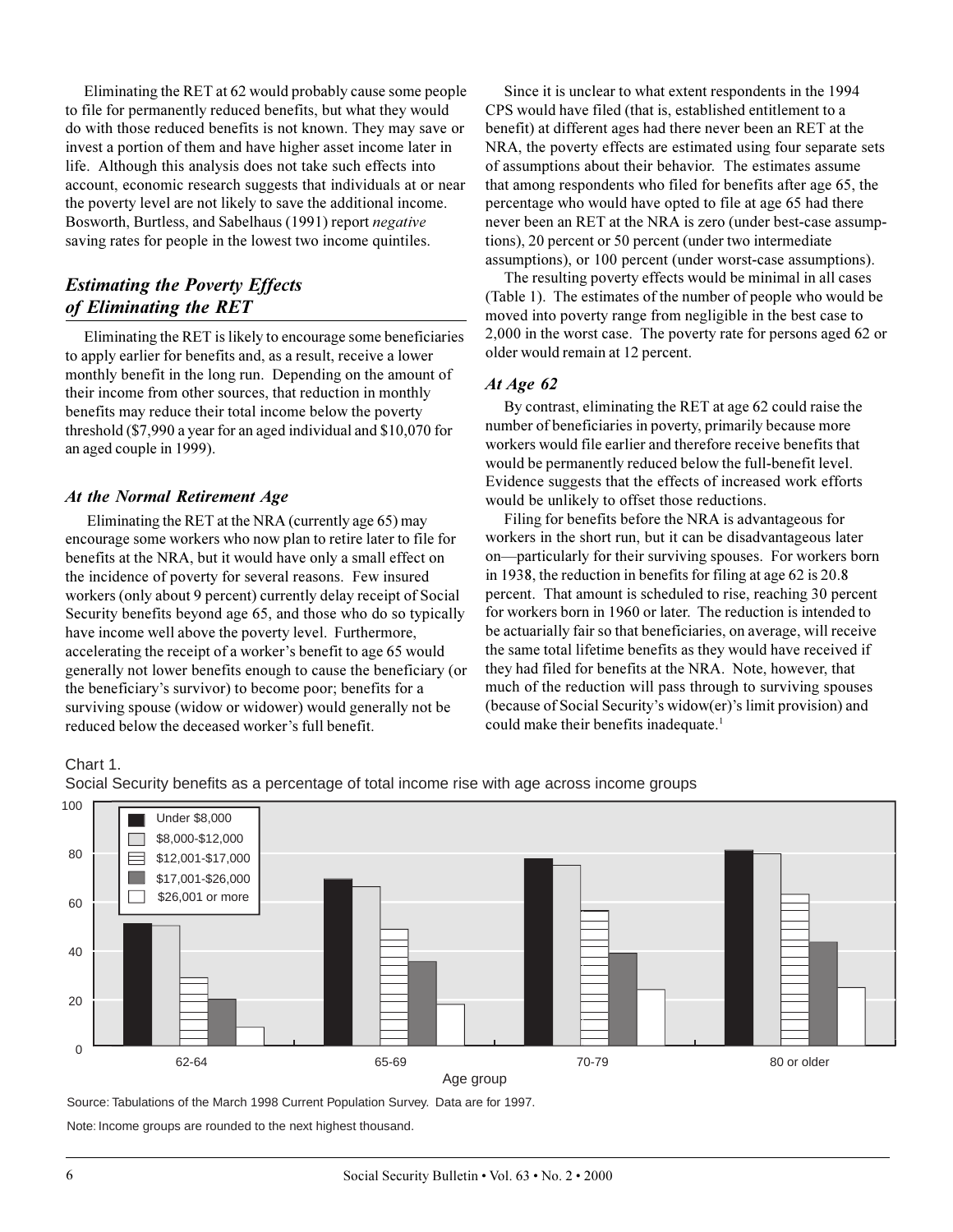Eliminating the RET at 62 would probably cause some people to file for permanently reduced benefits, but what they would do with those reduced benefits is not known. They may save or invest a portion of them and have higher asset income later in life. Although this analysis does not take such effects into account, economic research suggests that individuals at or near the poverty level are not likely to save the additional income. Bosworth, Burtless, and Sabelhaus (1991) report *negative* saving rates for people in the lowest two income quintiles.

# *Estimating the Poverty Effects of Eliminating the RET*

Eliminating the RET is likely to encourage some beneficiaries to apply earlier for benefits and, as a result, receive a lower monthly benefit in the long run. Depending on the amount of their income from other sources, that reduction in monthly benefits may reduce their total income below the poverty threshold (\$7,990 a year for an aged individual and \$10,070 for an aged couple in 1999).

# *At the Normal Retirement Age*

 Eliminating the RET at the NRA (currently age 65) may encourage some workers who now plan to retire later to file for benefits at the NRA, but it would have only a small effect on the incidence of poverty for several reasons. Few insured workers (only about 9 percent) currently delay receipt of Social Security benefits beyond age 65, and those who do so typically have income well above the poverty level. Furthermore, accelerating the receipt of a worker's benefit to age 65 would generally not lower benefits enough to cause the beneficiary (or the beneficiary's survivor) to become poor; benefits for a surviving spouse (widow or widower) would generally not be reduced below the deceased worker's full benefit.

Since it is unclear to what extent respondents in the 1994 CPS would have filed (that is, established entitlement to a benefit) at different ages had there never been an RET at the NRA, the poverty effects are estimated using four separate sets of assumptions about their behavior. The estimates assume that among respondents who filed for benefits after age 65, the percentage who would have opted to file at age 65 had there never been an RET at the NRA is zero (under best-case assumptions), 20 percent or 50 percent (under two intermediate assumptions), or 100 percent (under worst-case assumptions).

The resulting poverty effects would be minimal in all cases (Table 1). The estimates of the number of people who would be moved into poverty range from negligible in the best case to 2,000 in the worst case. The poverty rate for persons aged 62 or older would remain at 12 percent.

#### *At Age 62*

By contrast, eliminating the RET at age 62 could raise the number of beneficiaries in poverty, primarily because more workers would file earlier and therefore receive benefits that would be permanently reduced below the full-benefit level. Evidence suggests that the effects of increased work efforts would be unlikely to offset those reductions.

Filing for benefits before the NRA is advantageous for workers in the short run, but it can be disadvantageous later on—particularly for their surviving spouses. For workers born in 1938, the reduction in benefits for filing at age 62 is 20.8 percent. That amount is scheduled to rise, reaching 30 percent for workers born in 1960 or later. The reduction is intended to be actuarially fair so that beneficiaries, on average, will receive the same total lifetime benefits as they would have received if they had filed for benefits at the NRA. Note, however, that much of the reduction will pass through to surviving spouses (because of Social Security's widow( $er$ )'s limit provision) and could make their benefits inadequate.<sup>1</sup>

Chart 1.



Social Security benefits as a percentage of total income rise with age across income groups

Source: Tabulations of the March 1998 Current Population Survey. Data are for 1997.

Note: Income groups are rounded to the next highest thousand.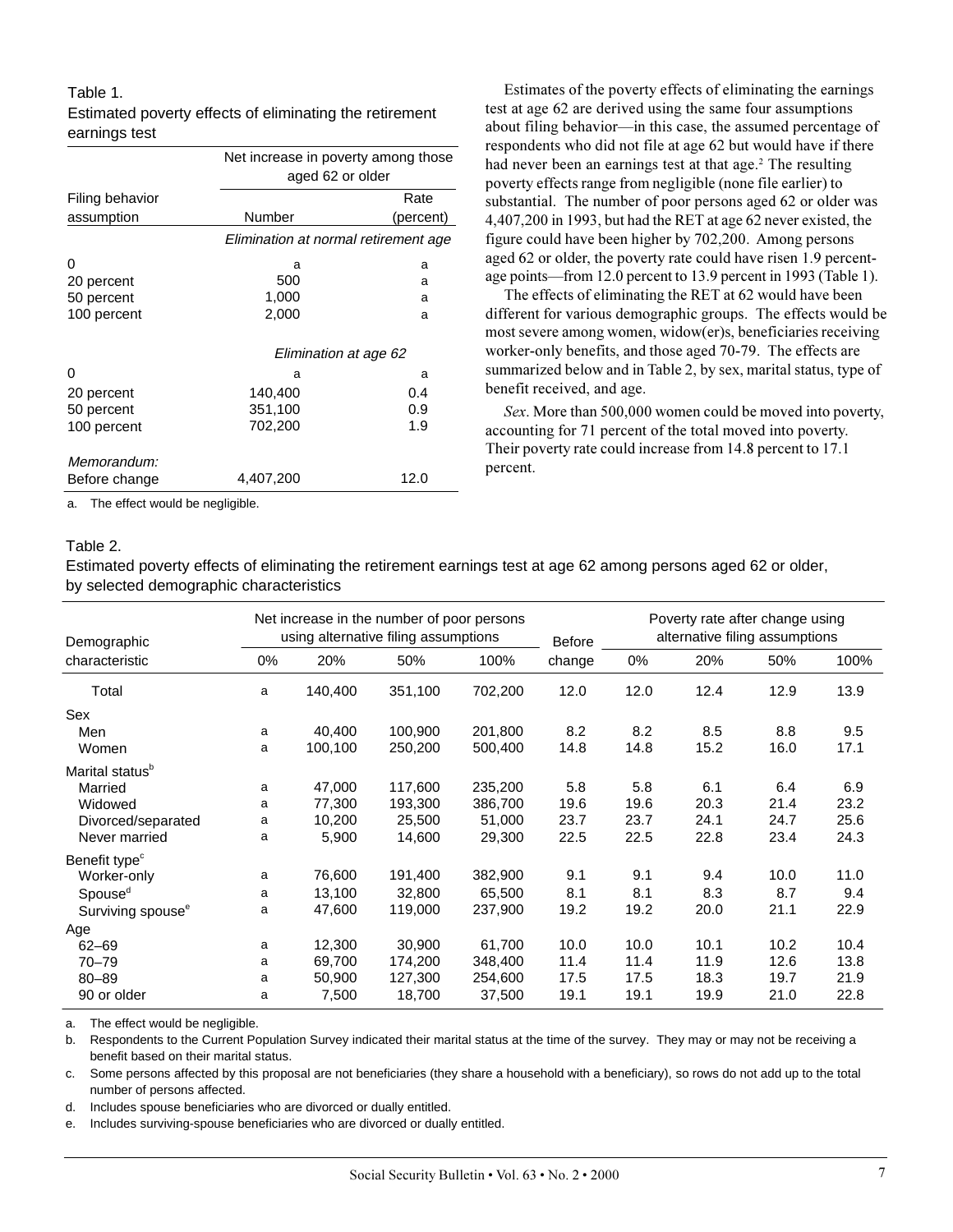#### Table 1.

|                 | Net increase in poverty among those<br>aged 62 or older |           |  |  |  |  |
|-----------------|---------------------------------------------------------|-----------|--|--|--|--|
| Filing behavior |                                                         | Rate      |  |  |  |  |
| assumption      | Number                                                  | (percent) |  |  |  |  |
|                 | Elimination at normal retirement age                    |           |  |  |  |  |
| 0               | a                                                       | a         |  |  |  |  |
| 20 percent      | 500                                                     | a         |  |  |  |  |
| 50 percent      | 1,000                                                   | a         |  |  |  |  |
| 100 percent     | 2,000                                                   | a         |  |  |  |  |
|                 | Elimination at age 62                                   |           |  |  |  |  |
| 0               | a                                                       | a         |  |  |  |  |
| 20 percent      | 140,400                                                 | 0.4       |  |  |  |  |
| 50 percent      | 351,100                                                 | 0.9       |  |  |  |  |
| 100 percent     | 702,200                                                 | 1.9       |  |  |  |  |
| Memorandum:     |                                                         |           |  |  |  |  |
| Before change   | 4,407,200                                               | 12.0      |  |  |  |  |

Estimated poverty effects of eliminating the retirement earnings test

a. The effect would be negligible.

#### Table 2.

Estimated poverty effects of eliminating the retirement earnings test at age 62 among persons aged 62 or older, by selected demographic characteristics

| Demographic                   | Net increase in the number of poor persons<br>using alternative filing assumptions |         |         | Before  | Poverty rate after change using<br>alternative filing assumptions |      |      |      |      |
|-------------------------------|------------------------------------------------------------------------------------|---------|---------|---------|-------------------------------------------------------------------|------|------|------|------|
| characteristic                | $0\%$                                                                              | 20%     | 50%     | 100%    | change                                                            | 0%   | 20%  | 50%  | 100% |
| Total                         | a                                                                                  | 140,400 | 351,100 | 702,200 | 12.0                                                              | 12.0 | 12.4 | 12.9 | 13.9 |
| Sex                           |                                                                                    |         |         |         |                                                                   |      |      |      |      |
| Men                           | a                                                                                  | 40,400  | 100,900 | 201,800 | 8.2                                                               | 8.2  | 8.5  | 8.8  | 9.5  |
| Women                         | a                                                                                  | 100,100 | 250,200 | 500,400 | 14.8                                                              | 14.8 | 15.2 | 16.0 | 17.1 |
| Marital status <sup>b</sup>   |                                                                                    |         |         |         |                                                                   |      |      |      |      |
| Married                       | a                                                                                  | 47,000  | 117,600 | 235,200 | 5.8                                                               | 5.8  | 6.1  | 6.4  | 6.9  |
| Widowed                       | a                                                                                  | 77,300  | 193,300 | 386,700 | 19.6                                                              | 19.6 | 20.3 | 21.4 | 23.2 |
| Divorced/separated            | a                                                                                  | 10,200  | 25.500  | 51,000  | 23.7                                                              | 23.7 | 24.1 | 24.7 | 25.6 |
| Never married                 | а                                                                                  | 5,900   | 14,600  | 29,300  | 22.5                                                              | 22.5 | 22.8 | 23.4 | 24.3 |
| Benefit type <sup>c</sup>     |                                                                                    |         |         |         |                                                                   |      |      |      |      |
| Worker-only                   | a                                                                                  | 76,600  | 191,400 | 382,900 | 9.1                                                               | 9.1  | 9.4  | 10.0 | 11.0 |
| Spouse <sup>d</sup>           | a                                                                                  | 13,100  | 32,800  | 65,500  | 8.1                                                               | 8.1  | 8.3  | 8.7  | 9.4  |
| Surviving spouse <sup>e</sup> | a                                                                                  | 47,600  | 119,000 | 237,900 | 19.2                                                              | 19.2 | 20.0 | 21.1 | 22.9 |
| Age                           |                                                                                    |         |         |         |                                                                   |      |      |      |      |
| $62 - 69$                     | a                                                                                  | 12,300  | 30,900  | 61,700  | 10.0                                                              | 10.0 | 10.1 | 10.2 | 10.4 |
| $70 - 79$                     | a                                                                                  | 69,700  | 174,200 | 348,400 | 11.4                                                              | 11.4 | 11.9 | 12.6 | 13.8 |
| $80 - 89$                     | a                                                                                  | 50,900  | 127,300 | 254,600 | 17.5                                                              | 17.5 | 18.3 | 19.7 | 21.9 |
| 90 or older                   | a                                                                                  | 7,500   | 18,700  | 37,500  | 19.1                                                              | 19.1 | 19.9 | 21.0 | 22.8 |

a. The effect would be negligible.

b. Respondents to the Current Population Survey indicated their marital status at the time of the survey. They may or may not be receiving a benefit based on their marital status.

c. Some persons affected by this proposal are not beneficiaries (they share a household with a beneficiary), so rows do not add up to the total number of persons affected.

d. Includes spouse beneficiaries who are divorced or dually entitled.

e. Includes surviving-spouse beneficiaries who are divorced or dually entitled.

Estimates of the poverty effects of eliminating the earnings test at age 62 are derived using the same four assumptions about filing behavior—in this case, the assumed percentage of respondents who did not file at age 62 but would have if there had never been an earnings test at that age.<sup>2</sup> The resulting poverty effects range from negligible (none file earlier) to substantial. The number of poor persons aged 62 or older was 4,407,200 in 1993, but had the RET at age 62 never existed, the figure could have been higher by 702,200. Among persons aged 62 or older, the poverty rate could have risen 1.9 percentage points—from 12.0 percent to 13.9 percent in 1993 (Table 1).

The effects of eliminating the RET at 62 would have been different for various demographic groups. The effects would be most severe among women, widow(er)s, beneficiaries receiving worker-only benefits, and those aged 70-79. The effects are summarized below and in Table 2, by sex, marital status, type of benefit received, and age.

*Sex*. More than 500,000 women could be moved into poverty, accounting for 71 percent of the total moved into poverty. Their poverty rate could increase from 14.8 percent to 17.1 percent.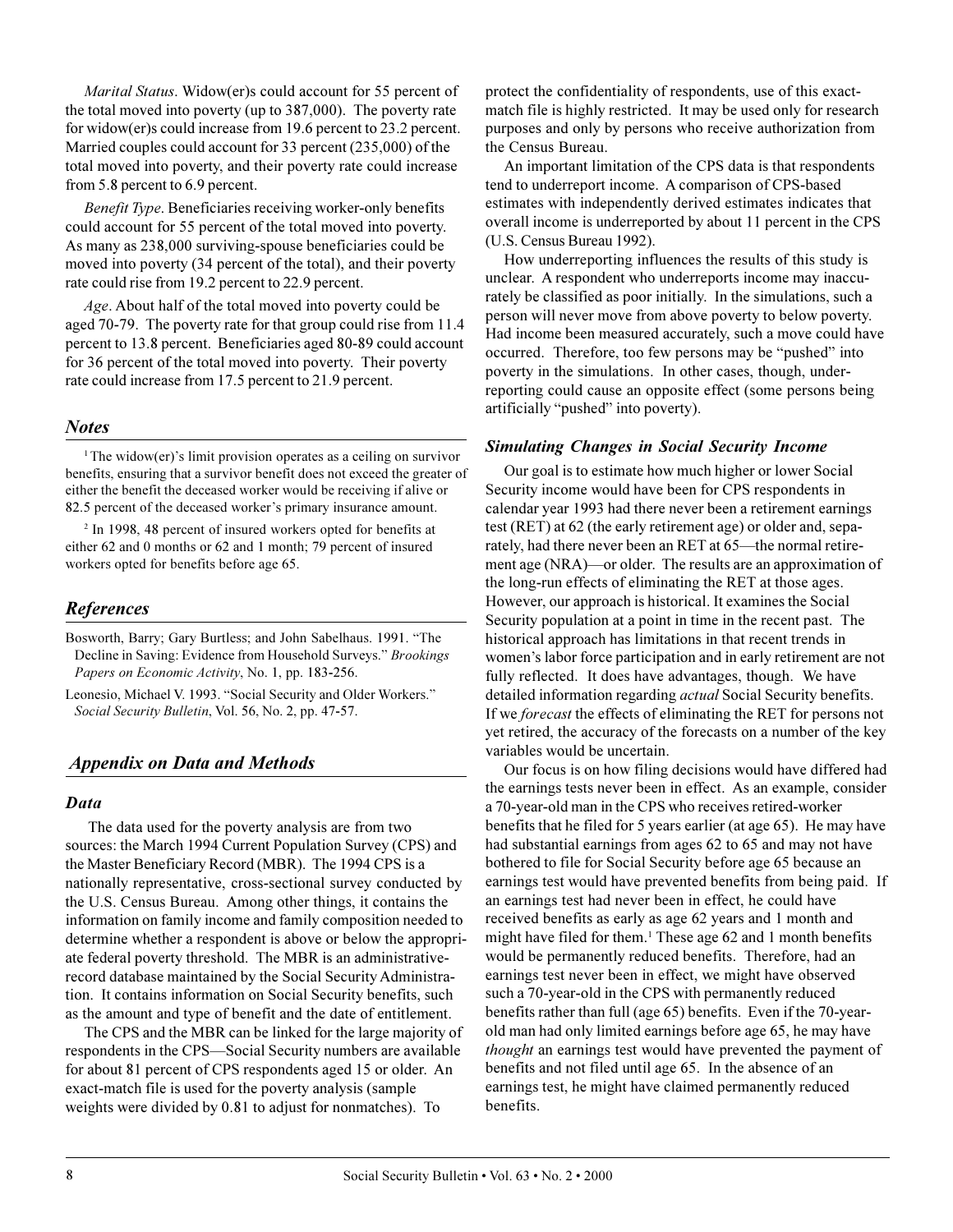*Marital Status*. Widow(er)s could account for 55 percent of the total moved into poverty (up to 387,000). The poverty rate for widow(er)s could increase from 19.6 percent to 23.2 percent. Married couples could account for 33 percent (235,000) of the total moved into poverty, and their poverty rate could increase from 5.8 percent to 6.9 percent.

*Benefit Type*. Beneficiaries receiving worker-only benefits could account for 55 percent of the total moved into poverty. As many as 238,000 surviving-spouse beneficiaries could be moved into poverty (34 percent of the total), and their poverty rate could rise from 19.2 percent to 22.9 percent.

*Age*. About half of the total moved into poverty could be aged 70-79. The poverty rate for that group could rise from 11.4 percent to 13.8 percent. Beneficiaries aged 80-89 could account for 36 percent of the total moved into poverty. Their poverty rate could increase from 17.5 percent to 21.9 percent.

#### *Notes*

 $1$ The widow(er)'s limit provision operates as a ceiling on survivor benefits, ensuring that a survivor benefit does not exceed the greater of either the benefit the deceased worker would be receiving if alive or 82.5 percent of the deceased worker's primary insurance amount.

<sup>2</sup> In 1998, 48 percent of insured workers opted for benefits at either 62 and 0 months or 62 and 1 month; 79 percent of insured workers opted for benefits before age 65.

# *References*

Bosworth, Barry; Gary Burtless; and John Sabelhaus. 1991. "The Decline in Saving: Evidence from Household Surveys. *Brookings Papers on Economic Activity*, No. 1, pp. 183-256.

Leonesio, Michael V. 1993. "Social Security and Older Workers." *Social Security Bulletin*, Vol. 56, No. 2, pp. 47-57.

## *Appendix on Data and Methods*

#### *Data*

 The data used for the poverty analysis are from two sources: the March 1994 Current Population Survey (CPS) and the Master Beneficiary Record (MBR). The 1994 CPS is a nationally representative, cross-sectional survey conducted by the U.S. Census Bureau. Among other things, it contains the information on family income and family composition needed to determine whether a respondent is above or below the appropriate federal poverty threshold. The MBR is an administrativerecord database maintained by the Social Security Administration. It contains information on Social Security benefits, such as the amount and type of benefit and the date of entitlement.

The CPS and the MBR can be linked for the large majority of respondents in the CPS—Social Security numbers are available for about 81 percent of CPS respondents aged 15 or older. An exact-match file is used for the poverty analysis (sample weights were divided by 0.81 to adjust for nonmatches). To

protect the confidentiality of respondents, use of this exactmatch file is highly restricted. It may be used only for research purposes and only by persons who receive authorization from the Census Bureau.

An important limitation of the CPS data is that respondents tend to underreport income. A comparison of CPS-based estimates with independently derived estimates indicates that overall income is underreported by about 11 percent in the CPS (U.S. Census Bureau 1992).

How underreporting influences the results of this study is unclear. A respondent who underreports income may inaccurately be classified as poor initially. In the simulations, such a person will never move from above poverty to below poverty. Had income been measured accurately, such a move could have occurred. Therefore, too few persons may be "pushed" into poverty in the simulations. In other cases, though, underreporting could cause an opposite effect (some persons being artificially "pushed" into poverty).

#### *Simulating Changes in Social Security Income*

Our goal is to estimate how much higher or lower Social Security income would have been for CPS respondents in calendar year 1993 had there never been a retirement earnings test (RET) at 62 (the early retirement age) or older and, separately, had there never been an RET at 65—the normal retirement age (NRA)—or older. The results are an approximation of the long-run effects of eliminating the RET at those ages. However, our approach is historical. It examines the Social Security population at a point in time in the recent past. The historical approach has limitations in that recent trends in women's labor force participation and in early retirement are not fully reflected. It does have advantages, though. We have detailed information regarding *actual* Social Security benefits. If we *forecast* the effects of eliminating the RET for persons not yet retired, the accuracy of the forecasts on a number of the key variables would be uncertain.

Our focus is on how filing decisions would have differed had the earnings tests never been in effect. As an example, consider a 70-year-old man in the CPS who receives retired-worker benefits that he filed for 5 years earlier (at age 65). He may have had substantial earnings from ages 62 to 65 and may not have bothered to file for Social Security before age 65 because an earnings test would have prevented benefits from being paid. If an earnings test had never been in effect, he could have received benefits as early as age 62 years and 1 month and might have filed for them.<sup>1</sup> These age 62 and 1 month benefits would be permanently reduced benefits. Therefore, had an earnings test never been in effect, we might have observed such a 70-year-old in the CPS with permanently reduced benefits rather than full (age 65) benefits. Even if the 70-yearold man had only limited earnings before age 65, he may have *thought* an earnings test would have prevented the payment of benefits and not filed until age 65. In the absence of an earnings test, he might have claimed permanently reduced benefits.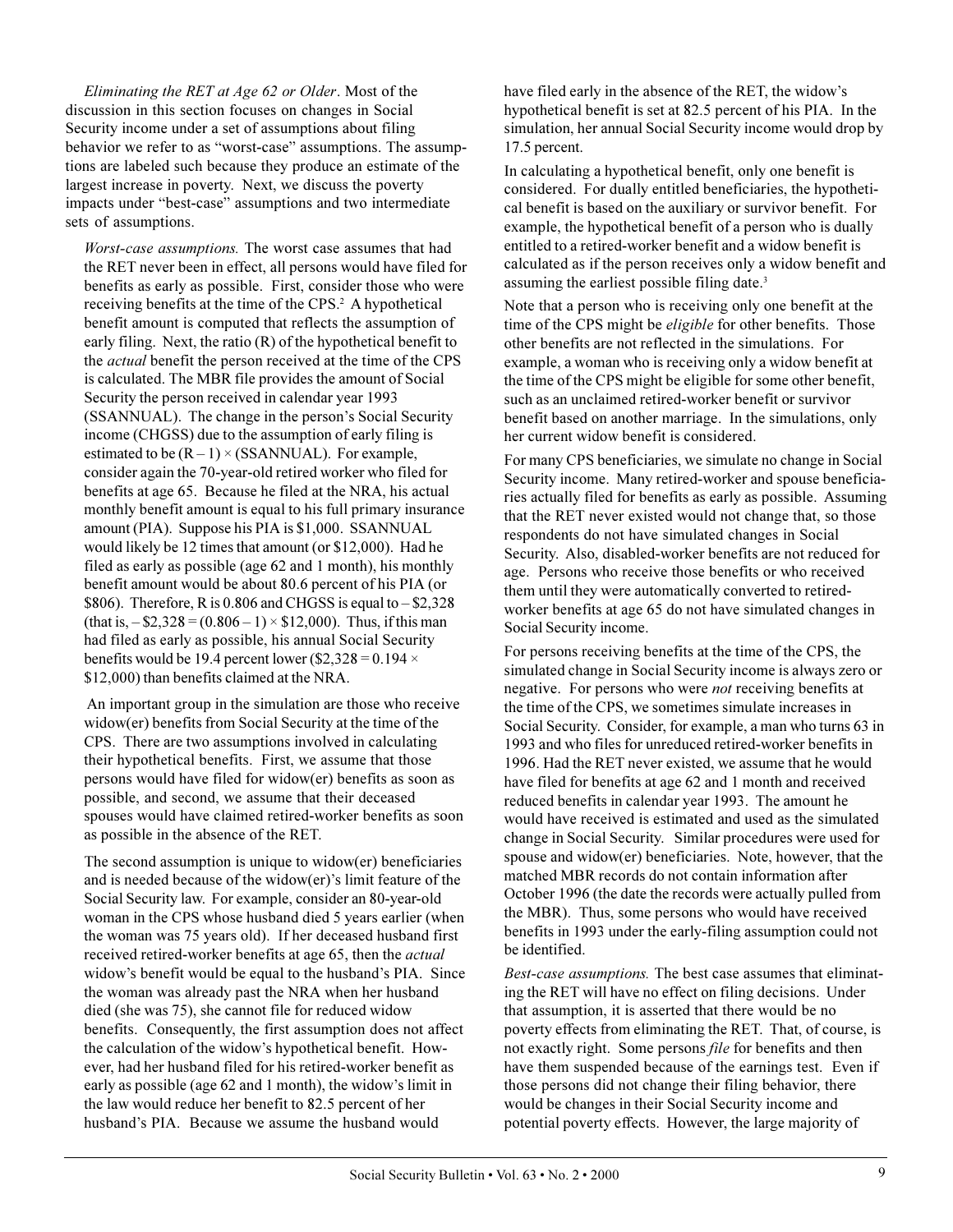*Eliminating the RET at Age 62 or Older*. Most of the discussion in this section focuses on changes in Social Security income under a set of assumptions about filing behavior we refer to as "worst-case" assumptions. The assumptions are labeled such because they produce an estimate of the largest increase in poverty. Next, we discuss the poverty impacts under "best-case" assumptions and two intermediate sets of assumptions.

*Worst-case assumptions.* The worst case assumes that had the RET never been in effect, all persons would have filed for benefits as early as possible. First, consider those who were receiving benefits at the time of the CPS.<sup>2</sup> A hypothetical benefit amount is computed that reflects the assumption of early filing. Next, the ratio (R) of the hypothetical benefit to the *actual* benefit the person received at the time of the CPS is calculated. The MBR file provides the amount of Social Security the person received in calendar year 1993 (SSANNUAL). The change in the person's Social Security income (CHGSS) due to the assumption of early filing is estimated to be  $(R - 1) \times (SSANNUAL)$ . For example, consider again the 70-year-old retired worker who filed for benefits at age 65. Because he filed at the NRA, his actual monthly benefit amount is equal to his full primary insurance amount (PIA). Suppose his PIA is \$1,000. SSANNUAL would likely be 12 times that amount (or \$12,000). Had he filed as early as possible (age 62 and 1 month), his monthly benefit amount would be about 80.6 percent of his PIA (or \$806). Therefore, R is  $0.806$  and CHGSS is equal to  $-$  \$2,328 (that is,  $-$  \$2,328 = (0.806 – 1)  $\times$  \$12,000). Thus, if this man had filed as early as possible, his annual Social Security benefits would be 19.4 percent lower (\$2,328 =  $0.194 \times$ \$12,000) than benefits claimed at the NRA.

 An important group in the simulation are those who receive widow(er) benefits from Social Security at the time of the CPS. There are two assumptions involved in calculating their hypothetical benefits. First, we assume that those persons would have filed for widow(er) benefits as soon as possible, and second, we assume that their deceased spouses would have claimed retired-worker benefits as soon as possible in the absence of the RET.

The second assumption is unique to widow(er) beneficiaries and is needed because of the widow( $er$ )'s limit feature of the Social Security law. For example, consider an 80-year-old woman in the CPS whose husband died 5 years earlier (when the woman was 75 years old). If her deceased husband first received retired-worker benefits at age 65, then the *actual* widow's benefit would be equal to the husband's PIA. Since the woman was already past the NRA when her husband died (she was 75), she cannot file for reduced widow benefits. Consequently, the first assumption does not affect the calculation of the widow's hypothetical benefit. However, had her husband filed for his retired-worker benefit as early as possible (age 62 and 1 month), the widow's limit in the law would reduce her benefit to 82.5 percent of her husband's PIA. Because we assume the husband would

have filed early in the absence of the RET, the widow's hypothetical benefit is set at 82.5 percent of his PIA. In the simulation, her annual Social Security income would drop by 17.5 percent.

In calculating a hypothetical benefit, only one benefit is considered. For dually entitled beneficiaries, the hypothetical benefit is based on the auxiliary or survivor benefit. For example, the hypothetical benefit of a person who is dually entitled to a retired-worker benefit and a widow benefit is calculated as if the person receives only a widow benefit and assuming the earliest possible filing date.<sup>3</sup>

Note that a person who is receiving only one benefit at the time of the CPS might be *eligible* for other benefits. Those other benefits are not reflected in the simulations. For example, a woman who is receiving only a widow benefit at the time of the CPS might be eligible for some other benefit, such as an unclaimed retired-worker benefit or survivor benefit based on another marriage. In the simulations, only her current widow benefit is considered.

For many CPS beneficiaries, we simulate no change in Social Security income. Many retired-worker and spouse beneficiaries actually filed for benefits as early as possible. Assuming that the RET never existed would not change that, so those respondents do not have simulated changes in Social Security. Also, disabled-worker benefits are not reduced for age. Persons who receive those benefits or who received them until they were automatically converted to retiredworker benefits at age 65 do not have simulated changes in Social Security income.

For persons receiving benefits at the time of the CPS, the simulated change in Social Security income is always zero or negative. For persons who were *not* receiving benefits at the time of the CPS, we sometimes simulate increases in Social Security. Consider, for example, a man who turns 63 in 1993 and who files for unreduced retired-worker benefits in 1996. Had the RET never existed, we assume that he would have filed for benefits at age 62 and 1 month and received reduced benefits in calendar year 1993. The amount he would have received is estimated and used as the simulated change in Social Security. Similar procedures were used for spouse and widow(er) beneficiaries. Note, however, that the matched MBR records do not contain information after October 1996 (the date the records were actually pulled from the MBR). Thus, some persons who would have received benefits in 1993 under the early-filing assumption could not be identified.

*Best-case assumptions.* The best case assumes that eliminating the RET will have no effect on filing decisions. Under that assumption, it is asserted that there would be no poverty effects from eliminating the RET. That, of course, is not exactly right. Some persons *file* for benefits and then have them suspended because of the earnings test. Even if those persons did not change their filing behavior, there would be changes in their Social Security income and potential poverty effects. However, the large majority of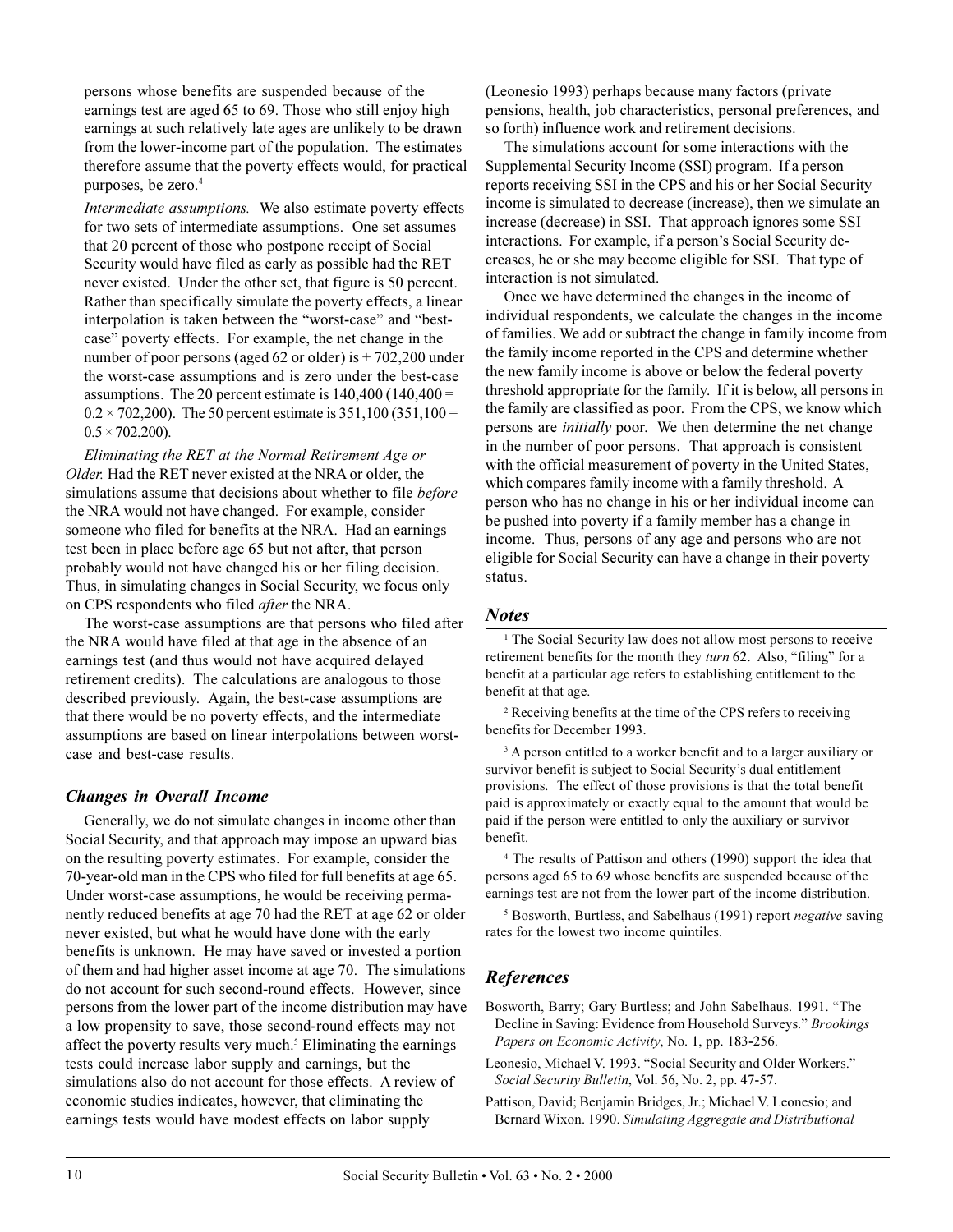persons whose benefits are suspended because of the earnings test are aged 65 to 69. Those who still enjoy high earnings at such relatively late ages are unlikely to be drawn from the lower-income part of the population. The estimates therefore assume that the poverty effects would, for practical purposes, be zero.<sup>4</sup>

*Intermediate assumptions.* We also estimate poverty effects for two sets of intermediate assumptions. One set assumes that 20 percent of those who postpone receipt of Social Security would have filed as early as possible had the RET never existed. Under the other set, that figure is 50 percent. Rather than specifically simulate the poverty effects, a linear interpolation is taken between the "worst-case" and "bestcase" poverty effects. For example, the net change in the number of poor persons (aged 62 or older) is + 702,200 under the worst-case assumptions and is zero under the best-case assumptions. The 20 percent estimate is  $140,400$  ( $140,400 =$  $0.2 \times 702{,}200$ . The 50 percent estimate is 351,100 (351,100 =  $0.5 \times 702{,}200$ ).

*Eliminating the RET at the Normal Retirement Age or Older.* Had the RET never existed at the NRA or older, the simulations assume that decisions about whether to file *before* the NRA would not have changed. For example, consider someone who filed for benefits at the NRA. Had an earnings test been in place before age 65 but not after, that person probably would not have changed his or her filing decision. Thus, in simulating changes in Social Security, we focus only on CPS respondents who filed *after* the NRA.

The worst-case assumptions are that persons who filed after the NRA would have filed at that age in the absence of an earnings test (and thus would not have acquired delayed retirement credits). The calculations are analogous to those described previously. Again, the best-case assumptions are that there would be no poverty effects, and the intermediate assumptions are based on linear interpolations between worstcase and best-case results.

## *Changes in Overall Income*

Generally, we do not simulate changes in income other than Social Security, and that approach may impose an upward bias on the resulting poverty estimates. For example, consider the 70-year-old man in the CPS who filed for full benefits at age 65. Under worst-case assumptions, he would be receiving permanently reduced benefits at age 70 had the RET at age 62 or older never existed, but what he would have done with the early benefits is unknown. He may have saved or invested a portion of them and had higher asset income at age 70. The simulations do not account for such second-round effects. However, since persons from the lower part of the income distribution may have a low propensity to save, those second-round effects may not affect the poverty results very much.<sup>5</sup> Eliminating the earnings tests could increase labor supply and earnings, but the simulations also do not account for those effects. A review of economic studies indicates, however, that eliminating the earnings tests would have modest effects on labor supply

(Leonesio 1993) perhaps because many factors (private pensions, health, job characteristics, personal preferences, and so forth) influence work and retirement decisions.

The simulations account for some interactions with the Supplemental Security Income (SSI) program. If a person reports receiving SSI in the CPS and his or her Social Security income is simulated to decrease (increase), then we simulate an increase (decrease) in SSI. That approach ignores some SSI interactions. For example, if a person's Social Security decreases, he or she may become eligible for SSI. That type of interaction is not simulated.

Once we have determined the changes in the income of individual respondents, we calculate the changes in the income of families. We add or subtract the change in family income from the family income reported in the CPS and determine whether the new family income is above or below the federal poverty threshold appropriate for the family. If it is below, all persons in the family are classified as poor. From the CPS, we know which persons are *initially* poor. We then determine the net change in the number of poor persons. That approach is consistent with the official measurement of poverty in the United States, which compares family income with a family threshold. A person who has no change in his or her individual income can be pushed into poverty if a family member has a change in income. Thus, persons of any age and persons who are not eligible for Social Security can have a change in their poverty status.

#### *Notes*

<sup>1</sup> The Social Security law does not allow most persons to receive retirement benefits for the month they *turn* 62. Also, "filing" for a benefit at a particular age refers to establishing entitlement to the benefit at that age.

2 Receiving benefits at the time of the CPS refers to receiving benefits for December 1993.

<sup>3</sup> A person entitled to a worker benefit and to a larger auxiliary or survivor benefit is subject to Social Security's dual entitlement provisions. The effect of those provisions is that the total benefit paid is approximately or exactly equal to the amount that would be paid if the person were entitled to only the auxiliary or survivor benefit.

4 The results of Pattison and others (1990) support the idea that persons aged 65 to 69 whose benefits are suspended because of the earnings test are not from the lower part of the income distribution.

5 Bosworth, Burtless, and Sabelhaus (1991) report *negative* saving rates for the lowest two income quintiles.

# *References*

- Bosworth, Barry; Gary Burtless; and John Sabelhaus. 1991. "The Decline in Saving: Evidence from Household Surveys. *Brookings Papers on Economic Activity*, No. 1, pp. 183-256.
- Leonesio, Michael V. 1993. "Social Security and Older Workers." *Social Security Bulletin*, Vol. 56, No. 2, pp. 47-57.
- Pattison, David; Benjamin Bridges, Jr.; Michael V. Leonesio; and Bernard Wixon. 1990. *Simulating Aggregate and Distributional*